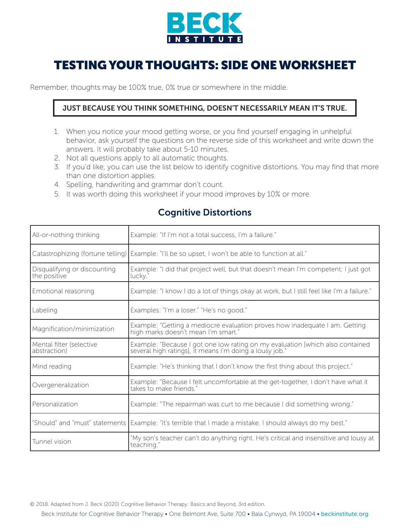

## TESTING YOUR THOUGHTS: SIDE ONE WORKSHEET

Remember, thoughts may be 100% true, 0% true or somewhere in the middle.

## JUST BECAUSE YOU THINK SOMETHING, DOESN'T NECESSARILY MEAN IT'S TRUE.

- 1. When you notice your mood getting worse, or you find yourself engaging in unhelpful behavior, ask yourself the questions on the reverse side of this worksheet and write down the answers. It will probably take about 5-10 minutes.
- 2. Not all questions apply to all automatic thoughts.
- 3. If you'd like, you can use the list below to identify cognitive distortions. You may find that more than one distortion applies.
- 4. Spelling, handwriting and grammar don't count.
- 5. It was worth doing this worksheet if your mood improves by 10% or more.

| All-or-nothing thinking                      | Example: "If I'm not a total success, I'm a failure."                                                                                    |
|----------------------------------------------|------------------------------------------------------------------------------------------------------------------------------------------|
| Catastrophizing (fortune telling)            | Example: "I'll be so upset, I won't be able to function at all."                                                                         |
| Disqualifying or discounting<br>the positive | Example: "I did that project well, but that doesn't mean I'm competent; I just got<br>lucky."                                            |
| Emotional reasoning                          | Example: "I know I do a lot of things okay at work, but I still feel like I'm a failure."                                                |
| Labeling                                     | Examples: "I'm a loser." "He's no good."                                                                                                 |
| Magnification/minimization                   | Example: "Getting a mediocre evaluation proves how inadequate I am. Getting<br>high marks doesn't mean I'm smart."                       |
| Mental filter (selective<br>abstraction)     | Example: "Because I got one low rating on my evaluation [which also contained<br>several high ratings], it means I'm doing a lousy job." |
| Mind reading                                 | Example: "He's thinking that I don't know the first thing about this project."                                                           |
| Overgeneralization                           | Example: "Because I felt uncomfortable at the get-together, I don't have what it<br>takes to make friends."                              |
| Personalization                              | Example: "The repairman was curt to me because I did something wrong."                                                                   |
| "Should" and "must" statements               | Example: "It's terrible that I made a mistake. I should always do my best."                                                              |
| Tunnel vision                                | "My son's teacher can't do anything right. He's critical and insensitive and lousy at<br>teaching."                                      |

## Cognitive Distortions

© 2018. Adapted from J. Beck (2020) Cognitive Behavior Therapy: Basics and Beyond, 3rd edition.

Beck Institute for Cognitive Behavior Therapy • One Belmont Ave, Suite 700 • Bala Cynwyd, PA 19004 • beckinstitute.org